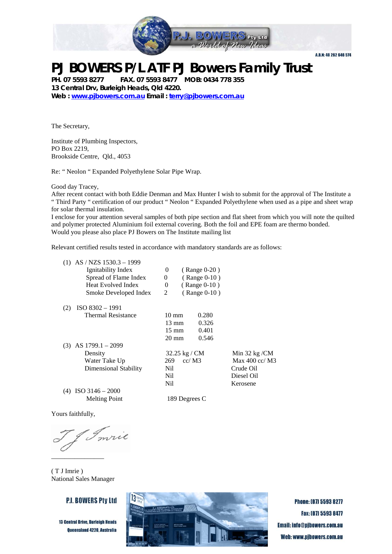

### **PJ BOWERS P/L ATF PJ Bowers Family Trust**

**PH. 07 5593 8277 FAX. 07 5593 8477 MOB: 0434 778 355 13 Central Drv, Burleigh Heads, Qld 4220. Web : [www.pjbowers.com.au](http://www.pjbowers.com.au/) Email : [terry@pjbowers.com.au](mailto:terry@pjbowers.com.au)** 

The Secretary,

Institute of Plumbing Inspectors, PO Box 2219, Brookside Centre, Qld., 4053

Re: " Neolon " Expanded Polyethylene Solar Pipe Wrap.

Good day Tracey,

After recent contact with both Eddie Denman and Max Hunter I wish to submit for the approval of The Institute a " Third Party " certification of our product " Neolon " Expanded Polyethylene when used as a pipe and sheet wrap for solar thermal insulation.

I enclose for your attention several samples of both pipe section and flat sheet from which you will note the quilted and polymer protected Aluminium foil external covering. Both the foil and EPE foam are thermo bonded. Would you please also place PJ Bowers on The Institute mailing list

Relevant certified results tested in accordance with mandatory standards are as follows:

|     | $(1)$ AS / NZS 1530.3 - 1999<br>Ignitability Index<br>Spread of Flame Index<br>Heat Evolved Index<br>Smoke Developed Index | 0<br>$(Range 0-20)$<br>$(Range 0-10)$<br>$\Omega$<br>(Range 0-10)<br>$\theta$<br>(Range 0-10)<br>2 |                         |
|-----|----------------------------------------------------------------------------------------------------------------------------|----------------------------------------------------------------------------------------------------|-------------------------|
| (2) | ISO 8302 - 1991                                                                                                            |                                                                                                    |                         |
|     | <b>Thermal Resistance</b>                                                                                                  | $10 \text{ mm}$                                                                                    | 0.280                   |
|     |                                                                                                                            | $13 \text{ mm}$                                                                                    | 0.326                   |
|     |                                                                                                                            | $15 \text{ mm}$                                                                                    | 0.401                   |
|     |                                                                                                                            | $20 \text{ mm}$                                                                                    | 0.546                   |
|     | $(3)$ AS 1799.1 – 2099                                                                                                     |                                                                                                    |                         |
|     | Density                                                                                                                    | 32.25 kg / CM                                                                                      | Min $32$ kg /CM         |
|     | Water Take Up                                                                                                              | 269<br>cc/M3                                                                                       | Max $400 \text{ cc}$ M3 |
|     | Dimensional Stability                                                                                                      | Nil                                                                                                | Crude Oil               |
|     |                                                                                                                            | Nil.                                                                                               | Diesel Oil              |
|     |                                                                                                                            | Nil                                                                                                | Kerosene                |
| (4) | $ISO$ 3146 – 2000                                                                                                          |                                                                                                    |                         |
|     | <b>Melting Point</b>                                                                                                       | 189 Degrees C                                                                                      |                         |

Yours faithfully,

mrie  $\overline{\phantom{0}}$ \_\_\_\_\_\_\_\_\_\_\_\_\_\_\_\_

( T J Imrie ) National Sales Manager

#### **P.J. BOWERS Ptv Ltd**

**13 Central Drive, Burleigh Heads** Queensland 4220, Australia



**Phone: [07] 5593 8277** Fax: [07] 5593 8477 **Email: info@pibowers.com.au** Web: www.pjbowers.com.au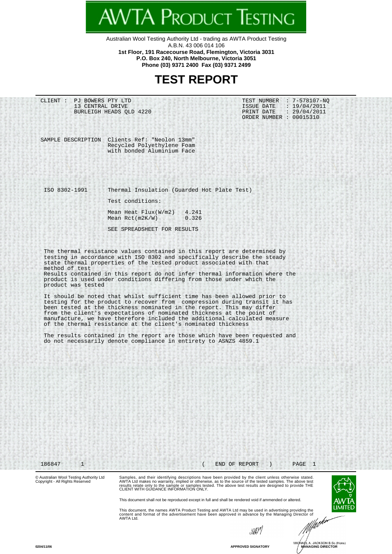Australian Wool Testing Authority Ltd - trading as AWTA Product Testing A.B.N. 43 006 014 106 **1st Floor, 191 Racecourse Road, Flemington, Victoria 3031 P.O. Box 240, North Melbourne, Victoria 3051**

**AWTA PRODUCT TESTING** 

**Phone (03) 9371 2400 Fax (03) 9371 2499**

### **TEST REPORT**

|                                      | CLIENT : PJ BOWERS PTY LTD<br>13 CENTRAL DRIVE<br>BURLEIGH HEADS OLD 4220                                                                                                                                                                                                                | TEST NUMBER : 7-578107-NO<br>: 19/04/2011<br>ISSUE DATE<br>PRINT DATE : 29/04/2011<br>ORDER NUMBER : 00015310                                                                                                                                                                                                     |
|--------------------------------------|------------------------------------------------------------------------------------------------------------------------------------------------------------------------------------------------------------------------------------------------------------------------------------------|-------------------------------------------------------------------------------------------------------------------------------------------------------------------------------------------------------------------------------------------------------------------------------------------------------------------|
|                                      | SAMPLE DESCRIPTION Clients Ref: "Neolon 13mm"<br>Recycled Polyethylene Foam<br>with bonded Aluminium Face                                                                                                                                                                                |                                                                                                                                                                                                                                                                                                                   |
|                                      |                                                                                                                                                                                                                                                                                          |                                                                                                                                                                                                                                                                                                                   |
| ISO 8302-1991                        | Thermal Insulation (Guarded Hot Plate Test)                                                                                                                                                                                                                                              |                                                                                                                                                                                                                                                                                                                   |
|                                      | Test conditions:                                                                                                                                                                                                                                                                         |                                                                                                                                                                                                                                                                                                                   |
|                                      | Mean Heat $Flux(W/m2)$<br>Mean $Ret(m2K/W)$                                                                                                                                                                                                                                              | 4.241<br>0.326                                                                                                                                                                                                                                                                                                    |
|                                      | SEE SPREADSHEET FOR RESULTS                                                                                                                                                                                                                                                              |                                                                                                                                                                                                                                                                                                                   |
| method of test<br>product was tested | product is used under conditions differing from those under which the<br>been tested at the thickness nominated in the report. This may differ<br>from the client's expectations of nominated thickness at the point of<br>of the thermal resistance at the client's nominated thickness | Results contained in this report do not infer thermal information where the<br>It should be noted that whilst sufficient time has been allowed prior to<br>testing for the product to recover from compression during transit it has<br>manufacture, we have therefore included the additional calculated measure |
|                                      |                                                                                                                                                                                                                                                                                          |                                                                                                                                                                                                                                                                                                                   |
|                                      | do not necessarily denote compliance in entirety to ASNZS 4859.1                                                                                                                                                                                                                         | The results contained in the report are those which have been requested and                                                                                                                                                                                                                                       |
|                                      |                                                                                                                                                                                                                                                                                          |                                                                                                                                                                                                                                                                                                                   |
|                                      |                                                                                                                                                                                                                                                                                          |                                                                                                                                                                                                                                                                                                                   |
|                                      |                                                                                                                                                                                                                                                                                          |                                                                                                                                                                                                                                                                                                                   |
|                                      |                                                                                                                                                                                                                                                                                          |                                                                                                                                                                                                                                                                                                                   |
|                                      |                                                                                                                                                                                                                                                                                          |                                                                                                                                                                                                                                                                                                                   |
|                                      |                                                                                                                                                                                                                                                                                          |                                                                                                                                                                                                                                                                                                                   |
| $\mathbf{1}$<br>186847               |                                                                                                                                                                                                                                                                                          | END OF REPORT<br>$\mathbf{1}$<br>PAGE                                                                                                                                                                                                                                                                             |

results relate only to the sample or samples tested. The above test results are designed to provide THE CLIENT WITH GUIDANCE INFORMATION ONLY.

This document shall not be reproduced except in full and shall be rendered void if ammended or altered.

This document, the names AWTA Product Testing and AWTA Ltd may be used in advertising providing the content and format of the advertisement have been approved in advance by the Managing Director of AWTA Ltd.

sport



**LIMIT**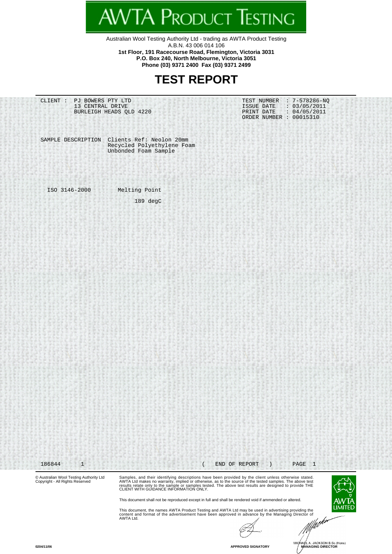Australian Wool Testing Authority Ltd - trading as AWTA Product Testing A.B.N. 43 006 014 106 **1st Floor, 191 Racecourse Road, Flemington, Victoria 3031**

'TA Product Testing

**P.O. Box 240, North Melbourne, Victoria 3051 Phone (03) 9371 2400 Fax (03) 9371 2499**

#### **TEST REPORT**

© Australian Wool Testing Authority Ltd Copyright - All Rights Reserved CLIENT : PJ BOWERS PTY LTD **TEST NUMBER** : 7-578286-NQ 13 CENTRAL DRIVE 1SSUE DATE : 03/05/2011 BURLEIGH HEADS QLD 4220 PRINT DATE : 04/05/2011 BURLEIGH HEADS QLD 4220 PRINT DATE : 04/05/2019 PRINT DATE : 04/05/2019 SAMPLE DESCRIPTION Clients Ref: Neolon 20mm Recycled Polyethylene Foam Unbonded Foam Sample ISO 3146-2000 Melting Point 189 degC 186844 1 ( END OF REPORT ) PAGE 1

Samples, and their identifying descriptions have been provided by the client unless otherwise stated.<br>AWTA Ltd makes no warranty, implied or otherwise, as to the source of the tested samples. The above test<br>results relate



This document, the names AWTA Product Testing and AWTA Ltd may be used in advertising providing the<br>content and format of the advertisement have been approved in advance by the Managing Director of<br>AWTA Ltd.

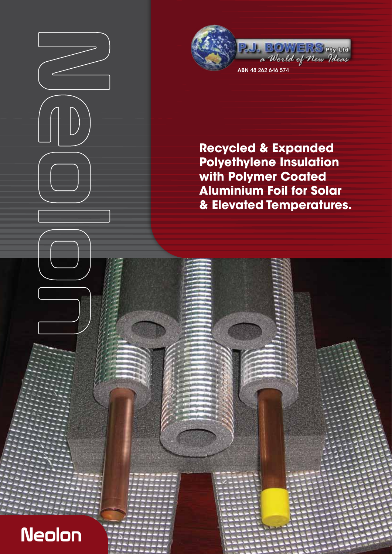

**Recycled & Expanded Polyethylene Insulation with Polymer Coated Aluminium Foil for Solar & Elevated Temperatures.**

asdf<del>ilis;lkasdfastflikasdfastfl</del> a;ldsjflasdfastig;lkasdfastig;lkasdfastig;lkasdfastig;lkastig;lkastig;lkastig;lkastig;lkastig;lkastig;lkastig; as dfast the state of the state of the state of the state of the state of the state of the state of the state o as distribution of the state of the state of the state of the state of the state of the state of the state of lkasdfaster;lkasdfaster;lkasdfaster;lkasdfaster;lkasdfaster;lkasdfaster;lkasdfaster;lkasdfaster;lkasdfaster;lk faster faster faster faster faster faster faster faster faster faster faster faster faster faster faster fast  $\ell$ ; decay distribution of the state of the state of the state of the state of the state of the state of the state of the state of the state of the state of the state of the state of the state of the state of the state o  $\ell$ ; defasting  $\ell$  as default as default of  $\ell$ a; ldsjflikas $\mathbb{R}$  is defined as distribution of the state  $\mathbb{R}$ 

**Neolon**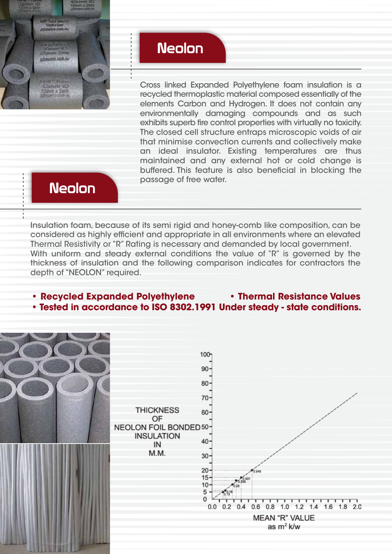

# **Neolon**

Cross linked Expanded Polyethylene foam insulation is a recycled thermoplastic material composed essentially of the elements Carbon and Hydrogen. It does not contain any environmentally damaging compounds and as such exhibits superb fire control properties with virtually no toxicity. The closed cell structure entraps microscopic voids of air that minimise convection currents and collectively make an ideal insulator. Existing temperatures are thus maintained and any external hot or cold change is buffered. This feature is also beneficial in blocking the passage of free water.

## **Neolon**

Insulation foam, because of its semi rigid and honey-comb like composition, can be considered as highly efficient and appropriate in all environments where an elevated Thermal Resistivity or "R" Rating is necessary and demanded by local government. With uniform and steady external conditions the value of "R" is governed by the thickness of insulation and the following comparison indicates for contractors the depth of "NEOLON" required.

#### **• Recycled Expanded Polyethylene • Thermal Resistance Values • Tested in accordance to ISO 8302.1991 Under steady - state conditions.**

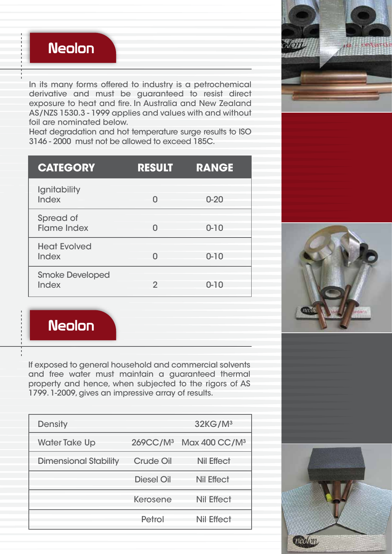

In its many forms offered to industry is a petrochemical derivative and must be guaranteed to resist direct exposure to heat and fire. In Australia and New Zealand AS/NZS 1530.3 - 1999 applies and values with and without foil are nominated below.

Heat degradation and hot temperature surge results to ISO 3146 - 2000 must not be allowed to exceed 185C.

| <b>CATEGORY</b>                     | <b>RESULT</b> | <b>RANGE</b> |
|-------------------------------------|---------------|--------------|
| Ignitability<br><b>Index</b>        | O             | $0 - 20$     |
| Spread of<br><b>Flame Index</b>     | ⋂             | $0 - 10$     |
| <b>Heat Evolved</b><br><b>Index</b> | N             | $0 - 10$     |
| <b>Smoke Developed</b><br>Index     | 2             | $0 - 10$     |

**Neolon** 

If exposed to general household and commercial solvents and free water must maintain a guaranteed thermal property and hence, when subjected to the rigors of AS 1799. 1-2009, gives an impressive array of results.

| <b>Density</b>               |                   | 32KG/M <sup>3</sup>                            |
|------------------------------|-------------------|------------------------------------------------|
| <b>Water Take Up</b>         |                   | 269CC/M <sup>3</sup> Max 400 CC/M <sup>3</sup> |
| <b>Dimensional Stability</b> | <b>Crude Oil</b>  | <b>Nil Effect</b>                              |
|                              | <b>Diesel Oil</b> | <b>Nil Effect</b>                              |
|                              | <b>Kerosene</b>   | <b>Nil Effect</b>                              |
|                              | Petrol            | <b>Nil Effect</b>                              |